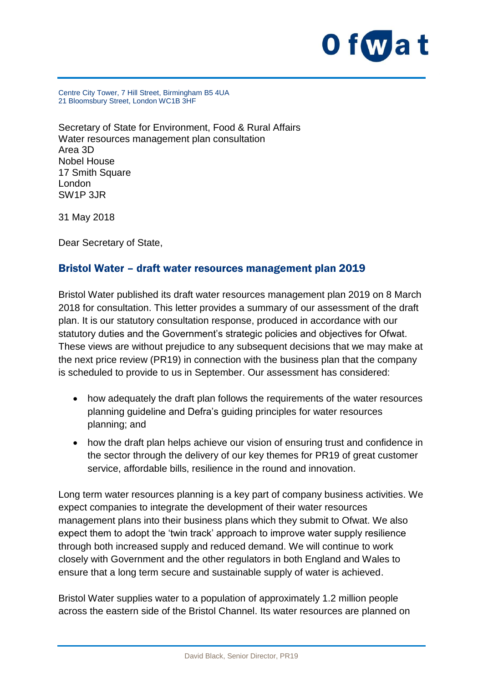

Centre City Tower, 7 Hill Street, Birmingham B5 4UA 21 Bloomsbury Street, London WC1B 3HF

Secretary of State for Environment, Food & Rural Affairs Water resources management plan consultation Area 3D Nobel House 17 Smith Square London SW1P 3JR

31 May 2018

Dear Secretary of State,

#### Bristol Water – draft water resources management plan 2019

Bristol Water published its draft water resources management plan 2019 on 8 March 2018 for consultation. This letter provides a summary of our assessment of the draft plan. It is our statutory consultation response, produced in accordance with our statutory duties and the Government's strategic policies and objectives for Ofwat. These views are without prejudice to any subsequent decisions that we may make at the next price review (PR19) in connection with the business plan that the company is scheduled to provide to us in September. Our assessment has considered:

- how adequately the draft plan follows the requirements of the water resources planning guideline and Defra's guiding principles for water resources planning; and
- how the draft plan helps achieve our vision of ensuring trust and confidence in the sector through the delivery of our key themes for PR19 of great customer service, affordable bills, resilience in the round and innovation.

Long term water resources planning is a key part of company business activities. We expect companies to integrate the development of their water resources management plans into their business plans which they submit to Ofwat. We also expect them to adopt the 'twin track' approach to improve water supply resilience through both increased supply and reduced demand. We will continue to work closely with Government and the other regulators in both England and Wales to ensure that a long term secure and sustainable supply of water is achieved.

Bristol Water supplies water to a population of approximately 1.2 million people across the eastern side of the Bristol Channel. Its water resources are planned on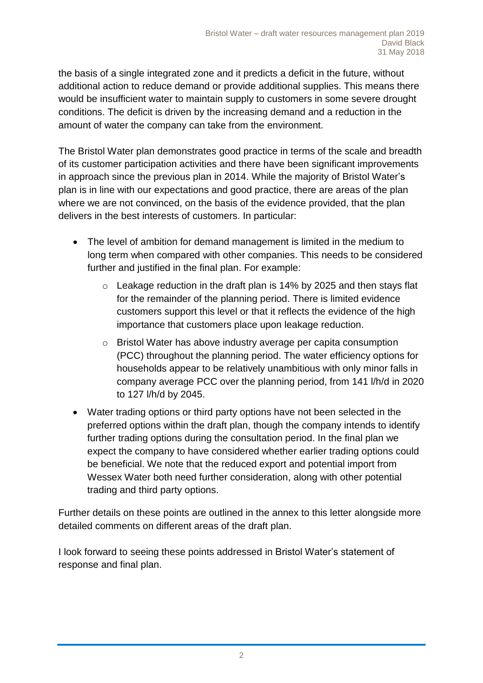the basis of a single integrated zone and it predicts a deficit in the future, without additional action to reduce demand or provide additional supplies. This means there would be insufficient water to maintain supply to customers in some severe drought conditions. The deficit is driven by the increasing demand and a reduction in the amount of water the company can take from the environment.

The Bristol Water plan demonstrates good practice in terms of the scale and breadth of its customer participation activities and there have been significant improvements in approach since the previous plan in 2014. While the majority of Bristol Water's plan is in line with our expectations and good practice, there are areas of the plan where we are not convinced, on the basis of the evidence provided, that the plan delivers in the best interests of customers. In particular:

- The level of ambition for demand management is limited in the medium to long term when compared with other companies. This needs to be considered further and justified in the final plan. For example:
	- o Leakage reduction in the draft plan is 14% by 2025 and then stays flat for the remainder of the planning period. There is limited evidence customers support this level or that it reflects the evidence of the high importance that customers place upon leakage reduction.
	- o Bristol Water has above industry average per capita consumption (PCC) throughout the planning period. The water efficiency options for households appear to be relatively unambitious with only minor falls in company average PCC over the planning period, from 141 l/h/d in 2020 to 127 l/h/d by 2045.
- Water trading options or third party options have not been selected in the preferred options within the draft plan, though the company intends to identify further trading options during the consultation period. In the final plan we expect the company to have considered whether earlier trading options could be beneficial. We note that the reduced export and potential import from Wessex Water both need further consideration, along with other potential trading and third party options.

Further details on these points are outlined in the annex to this letter alongside more detailed comments on different areas of the draft plan.

I look forward to seeing these points addressed in Bristol Water's statement of response and final plan.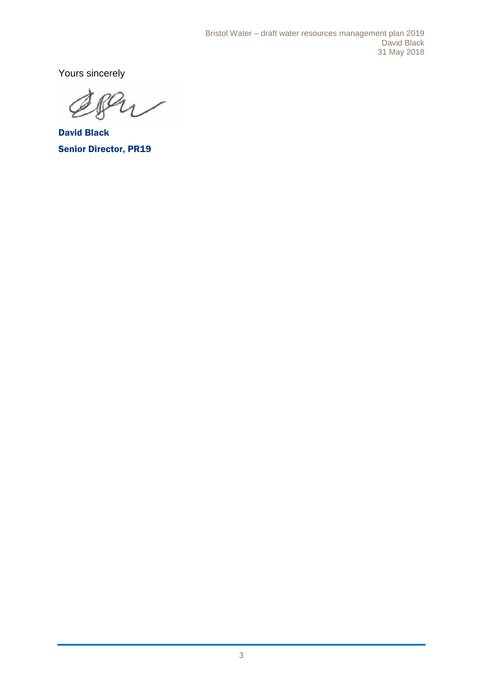Yours sincerely

 $\overline{A}$ 

David Black Senior Director, PR19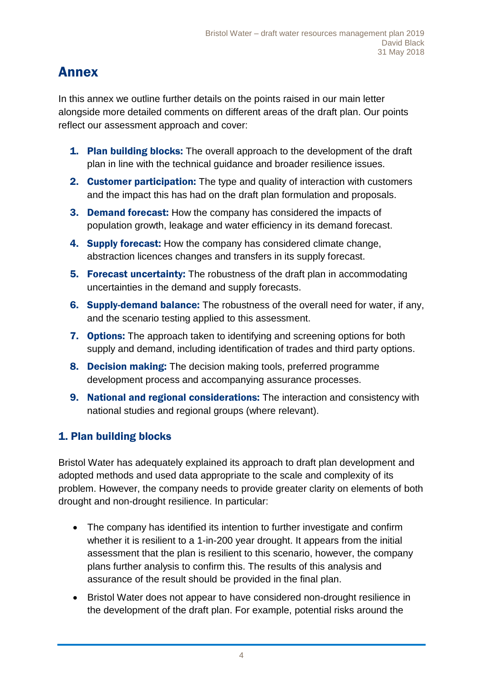# Annex

In this annex we outline further details on the points raised in our main letter alongside more detailed comments on different areas of the draft plan. Our points reflect our assessment approach and cover:

- **1. Plan building blocks:** The overall approach to the development of the draft plan in line with the technical guidance and broader resilience issues.
- 2. Customer participation: The type and quality of interaction with customers and the impact this has had on the draft plan formulation and proposals.
- 3. Demand forecast: How the company has considered the impacts of population growth, leakage and water efficiency in its demand forecast.
- 4. Supply forecast: How the company has considered climate change, abstraction licences changes and transfers in its supply forecast.
- **5. Forecast uncertainty:** The robustness of the draft plan in accommodating uncertainties in the demand and supply forecasts.
- 6. Supply-demand balance: The robustness of the overall need for water, if any, and the scenario testing applied to this assessment.
- **7. Options:** The approach taken to identifying and screening options for both supply and demand, including identification of trades and third party options.
- 8. Decision making: The decision making tools, preferred programme development process and accompanying assurance processes.
- 9. National and regional considerations: The interaction and consistency with national studies and regional groups (where relevant).

# 1. Plan building blocks

Bristol Water has adequately explained its approach to draft plan development and adopted methods and used data appropriate to the scale and complexity of its problem. However, the company needs to provide greater clarity on elements of both drought and non-drought resilience. In particular:

- The company has identified its intention to further investigate and confirm whether it is resilient to a 1-in-200 year drought. It appears from the initial assessment that the plan is resilient to this scenario, however, the company plans further analysis to confirm this. The results of this analysis and assurance of the result should be provided in the final plan.
- Bristol Water does not appear to have considered non-drought resilience in the development of the draft plan. For example, potential risks around the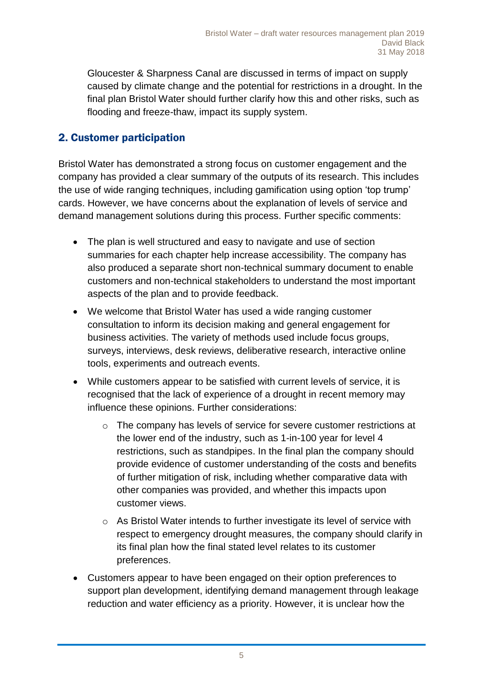Gloucester & Sharpness Canal are discussed in terms of impact on supply caused by climate change and the potential for restrictions in a drought. In the final plan Bristol Water should further clarify how this and other risks, such as flooding and freeze-thaw, impact its supply system.

#### 2. Customer participation

Bristol Water has demonstrated a strong focus on customer engagement and the company has provided a clear summary of the outputs of its research. This includes the use of wide ranging techniques, including gamification using option 'top trump' cards. However, we have concerns about the explanation of levels of service and demand management solutions during this process. Further specific comments:

- The plan is well structured and easy to navigate and use of section summaries for each chapter help increase accessibility. The company has also produced a separate short non-technical summary document to enable customers and non-technical stakeholders to understand the most important aspects of the plan and to provide feedback.
- We welcome that Bristol Water has used a wide ranging customer consultation to inform its decision making and general engagement for business activities. The variety of methods used include focus groups, surveys, interviews, desk reviews, deliberative research, interactive online tools, experiments and outreach events.
- While customers appear to be satisfied with current levels of service, it is recognised that the lack of experience of a drought in recent memory may influence these opinions. Further considerations:
	- $\circ$  The company has levels of service for severe customer restrictions at the lower end of the industry, such as 1-in-100 year for level 4 restrictions, such as standpipes. In the final plan the company should provide evidence of customer understanding of the costs and benefits of further mitigation of risk, including whether comparative data with other companies was provided, and whether this impacts upon customer views.
	- $\circ$  As Bristol Water intends to further investigate its level of service with respect to emergency drought measures, the company should clarify in its final plan how the final stated level relates to its customer preferences.
- Customers appear to have been engaged on their option preferences to support plan development, identifying demand management through leakage reduction and water efficiency as a priority. However, it is unclear how the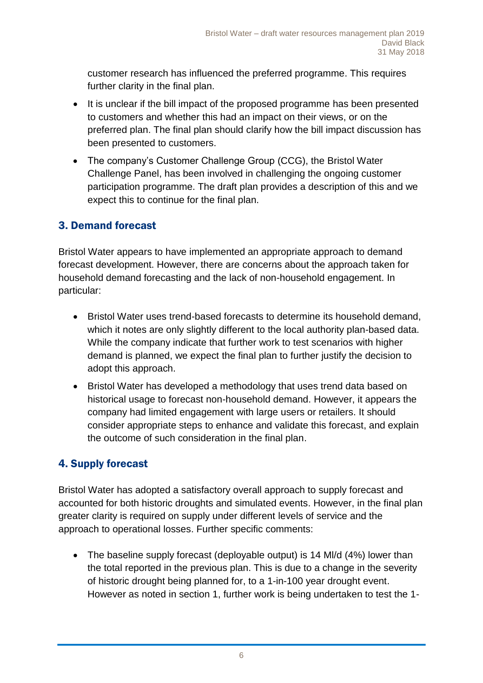customer research has influenced the preferred programme. This requires further clarity in the final plan.

- It is unclear if the bill impact of the proposed programme has been presented to customers and whether this had an impact on their views, or on the preferred plan. The final plan should clarify how the bill impact discussion has been presented to customers.
- The company's Customer Challenge Group (CCG), the Bristol Water Challenge Panel, has been involved in challenging the ongoing customer participation programme. The draft plan provides a description of this and we expect this to continue for the final plan.

#### 3. Demand forecast

Bristol Water appears to have implemented an appropriate approach to demand forecast development. However, there are concerns about the approach taken for household demand forecasting and the lack of non-household engagement. In particular:

- Bristol Water uses trend-based forecasts to determine its household demand, which it notes are only slightly different to the local authority plan-based data. While the company indicate that further work to test scenarios with higher demand is planned, we expect the final plan to further justify the decision to adopt this approach.
- Bristol Water has developed a methodology that uses trend data based on historical usage to forecast non-household demand. However, it appears the company had limited engagement with large users or retailers. It should consider appropriate steps to enhance and validate this forecast, and explain the outcome of such consideration in the final plan.

# 4. Supply forecast

Bristol Water has adopted a satisfactory overall approach to supply forecast and accounted for both historic droughts and simulated events. However, in the final plan greater clarity is required on supply under different levels of service and the approach to operational losses. Further specific comments:

• The baseline supply forecast (deployable output) is 14 MI/d (4%) lower than the total reported in the previous plan. This is due to a change in the severity of historic drought being planned for, to a 1-in-100 year drought event. However as noted in section 1, further work is being undertaken to test the 1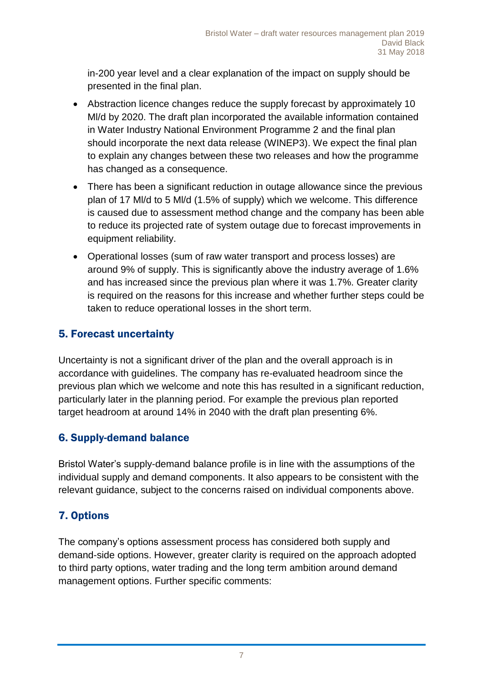in-200 year level and a clear explanation of the impact on supply should be presented in the final plan.

- Abstraction licence changes reduce the supply forecast by approximately 10 Ml/d by 2020. The draft plan incorporated the available information contained in Water Industry National Environment Programme 2 and the final plan should incorporate the next data release (WINEP3). We expect the final plan to explain any changes between these two releases and how the programme has changed as a consequence.
- There has been a significant reduction in outage allowance since the previous plan of 17 Ml/d to 5 Ml/d (1.5% of supply) which we welcome. This difference is caused due to assessment method change and the company has been able to reduce its projected rate of system outage due to forecast improvements in equipment reliability.
- Operational losses (sum of raw water transport and process losses) are around 9% of supply. This is significantly above the industry average of 1.6% and has increased since the previous plan where it was 1.7%. Greater clarity is required on the reasons for this increase and whether further steps could be taken to reduce operational losses in the short term.

# 5. Forecast uncertainty

Uncertainty is not a significant driver of the plan and the overall approach is in accordance with guidelines. The company has re-evaluated headroom since the previous plan which we welcome and note this has resulted in a significant reduction, particularly later in the planning period. For example the previous plan reported target headroom at around 14% in 2040 with the draft plan presenting 6%.

#### 6. Supply-demand balance

Bristol Water's supply-demand balance profile is in line with the assumptions of the individual supply and demand components. It also appears to be consistent with the relevant guidance, subject to the concerns raised on individual components above.

# 7. Options

The company's options assessment process has considered both supply and demand-side options. However, greater clarity is required on the approach adopted to third party options, water trading and the long term ambition around demand management options. Further specific comments: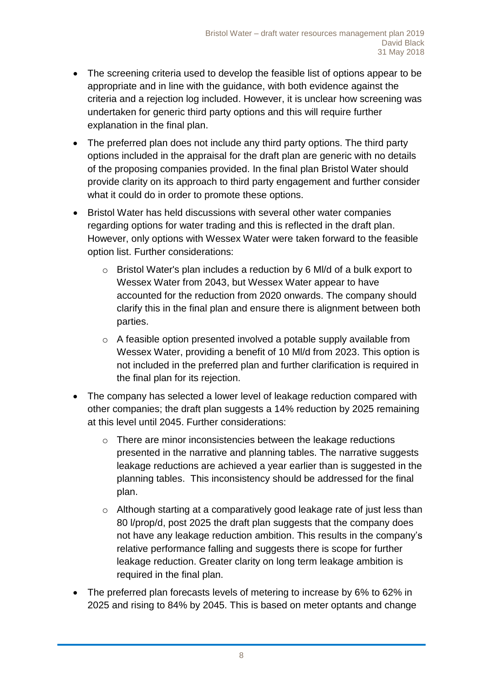- The screening criteria used to develop the feasible list of options appear to be appropriate and in line with the guidance, with both evidence against the criteria and a rejection log included. However, it is unclear how screening was undertaken for generic third party options and this will require further explanation in the final plan.
- The preferred plan does not include any third party options. The third party options included in the appraisal for the draft plan are generic with no details of the proposing companies provided. In the final plan Bristol Water should provide clarity on its approach to third party engagement and further consider what it could do in order to promote these options.
- Bristol Water has held discussions with several other water companies regarding options for water trading and this is reflected in the draft plan. However, only options with Wessex Water were taken forward to the feasible option list. Further considerations:
	- o Bristol Water's plan includes a reduction by 6 Ml/d of a bulk export to Wessex Water from 2043, but Wessex Water appear to have accounted for the reduction from 2020 onwards. The company should clarify this in the final plan and ensure there is alignment between both parties.
	- o A feasible option presented involved a potable supply available from Wessex Water, providing a benefit of 10 Ml/d from 2023. This option is not included in the preferred plan and further clarification is required in the final plan for its rejection.
- The company has selected a lower level of leakage reduction compared with other companies; the draft plan suggests a 14% reduction by 2025 remaining at this level until 2045. Further considerations:
	- o There are minor inconsistencies between the leakage reductions presented in the narrative and planning tables. The narrative suggests leakage reductions are achieved a year earlier than is suggested in the planning tables. This inconsistency should be addressed for the final plan.
	- o Although starting at a comparatively good leakage rate of just less than 80 l/prop/d, post 2025 the draft plan suggests that the company does not have any leakage reduction ambition. This results in the company's relative performance falling and suggests there is scope for further leakage reduction. Greater clarity on long term leakage ambition is required in the final plan.
- The preferred plan forecasts levels of metering to increase by 6% to 62% in 2025 and rising to 84% by 2045. This is based on meter optants and change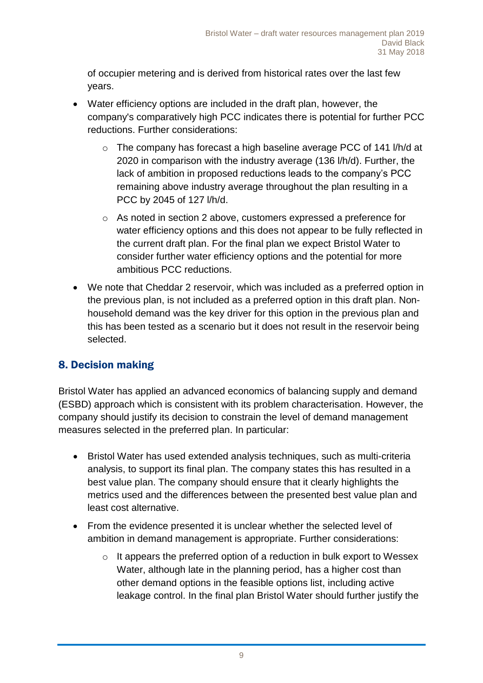of occupier metering and is derived from historical rates over the last few years.

- Water efficiency options are included in the draft plan, however, the company's comparatively high PCC indicates there is potential for further PCC reductions. Further considerations:
	- o The company has forecast a high baseline average PCC of 141 l/h/d at 2020 in comparison with the industry average (136 l/h/d). Further, the lack of ambition in proposed reductions leads to the company's PCC remaining above industry average throughout the plan resulting in a PCC by 2045 of 127 l/h/d.
	- o As noted in section 2 above, customers expressed a preference for water efficiency options and this does not appear to be fully reflected in the current draft plan. For the final plan we expect Bristol Water to consider further water efficiency options and the potential for more ambitious PCC reductions.
- We note that Cheddar 2 reservoir, which was included as a preferred option in the previous plan, is not included as a preferred option in this draft plan. Nonhousehold demand was the key driver for this option in the previous plan and this has been tested as a scenario but it does not result in the reservoir being selected.

# 8. Decision making

Bristol Water has applied an advanced economics of balancing supply and demand (ESBD) approach which is consistent with its problem characterisation. However, the company should justify its decision to constrain the level of demand management measures selected in the preferred plan. In particular:

- Bristol Water has used extended analysis techniques, such as multi-criteria analysis, to support its final plan. The company states this has resulted in a best value plan. The company should ensure that it clearly highlights the metrics used and the differences between the presented best value plan and least cost alternative.
- From the evidence presented it is unclear whether the selected level of ambition in demand management is appropriate. Further considerations:
	- o It appears the preferred option of a reduction in bulk export to Wessex Water, although late in the planning period, has a higher cost than other demand options in the feasible options list, including active leakage control. In the final plan Bristol Water should further justify the